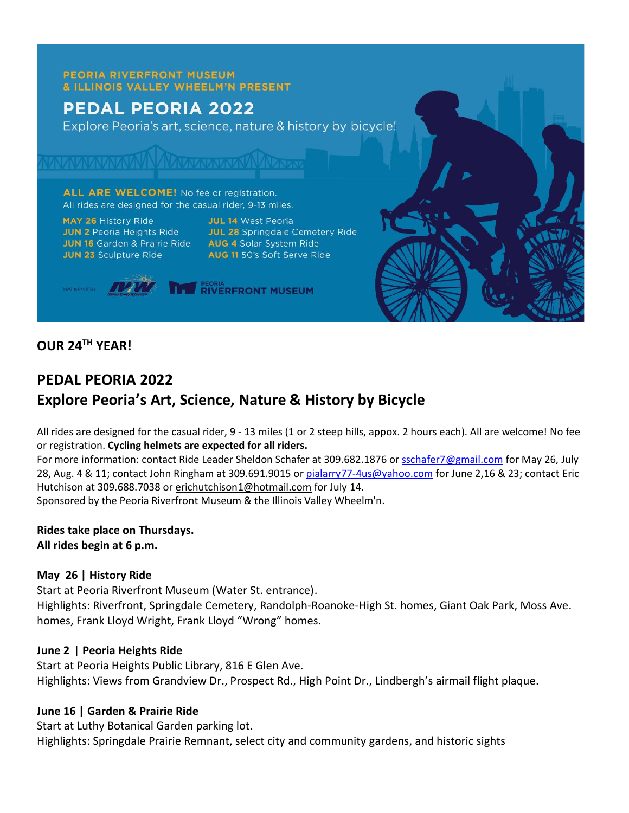#### **PEORIA RIVERFRONT MUSEUM** & ILLINOIS VALLEY WHEELM'N PRESENT

# **PEDAL PEORIA 2022**

Explore Peoria's art, science, nature & history by bicycle!

ALL ARE WELCOME! No fee or registration. All rides are designed for the casual rider, 9-13 miles.

MAY 26 History Ride **JUN 2** Peoria Heights Ride<br> **JUN 16** Garden & Prairie Ride<br> **AUG 4** Solar System Ride **JUN 23 Sculpture Ride** 

**JUL 14 West Peoria** JUL 28 Springdale Cemetery Ride AUG 11 50's Soft Serve Ride

**THE RIVERFRONT MUSEUM** 

## **OUR 24TH YEAR!**

# **PEDAL PEORIA 2022 Explore Peoria's Art, Science, Nature & History by Bicycle**

All rides are designed for the casual rider, 9 - 13 miles (1 or 2 steep hills, appox. 2 hours each). All are welcome! No fee or registration. **Cycling helmets are expected for all riders.**

For more information: contact Ride Leader Sheldon Schafer at 309.682.1876 or [sschafer7@gmail.com](mailto:sschafer7@gmail.com) for May 26, July 28, Aug. 4 & 11; contact John Ringham at 309.691.9015 or [pialarry77-4us@yahoo.com](mailto:pialarry77-4us@yahoo.com) for June 2,16 & 23; contact Eric Hutchison at 309.688.7038 or [erichutchison1@hotmail.com](mailto:erichutchison1@hotmail.com) for July 14. Sponsored by the Peoria Riverfront Museum & the Illinois Valley Wheelm'n.

**Rides take place on Thursdays. All rides begin at 6 p.m.**

#### **May 26 | History Ride**

Start at Peoria Riverfront Museum (Water St. entrance). Highlights: Riverfront, Springdale Cemetery, Randolph-Roanoke-High St. homes, Giant Oak Park, Moss Ave. homes, Frank Lloyd Wright, Frank Lloyd "Wrong" homes.

### **June 2** | **Peoria Heights Ride**

Start at Peoria Heights Public Library, 816 E Glen Ave. Highlights: Views from Grandview Dr., Prospect Rd., High Point Dr., Lindbergh's airmail flight plaque.

#### **June 16 | Garden & Prairie Ride**

Start at Luthy Botanical Garden parking lot. Highlights: Springdale Prairie Remnant, select city and community gardens, and historic sights